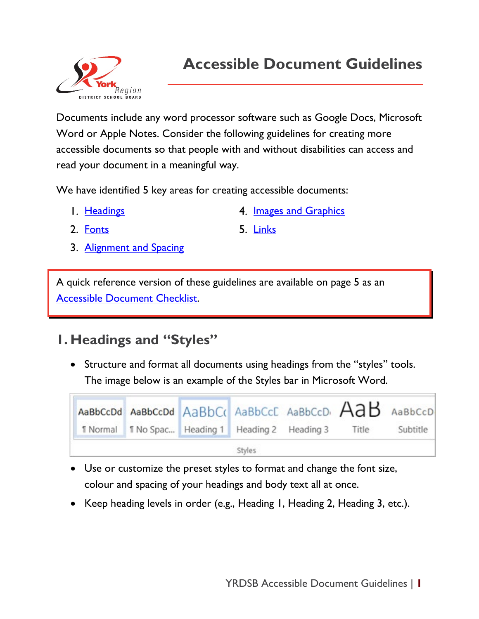

Documents include any word processor software such as Google Docs, Microsoft Word or Apple Notes. Consider the following guidelines for creating more accessible documents so that people with and without disabilities can access and read your document in a meaningful way.

We have identified 5 key areas for creating accessible documents:

I. Headings

4. Images [and Graphics](#page-2-0)

2. [Fonts](#page-0-0)

- <span id="page-0-0"></span>5. [Links](#page-2-1)
- 3. [Alignment and Spacing](#page-1-0)

A quick reference version of these guidelines are available on page 5 as an [Accessible Document Checklist.](#page-4-0)

# **1. Headings and "Styles"**

• Structure and format all documents using headings from the "styles" tools. The image below is an example of the Styles bar in Microsoft Word.



- Use or customize the preset styles to format and change the font size, colour and spacing of your headings and body text all at once.
- Keep heading levels in order (e.g., Heading 1, Heading 2, Heading 3, etc.).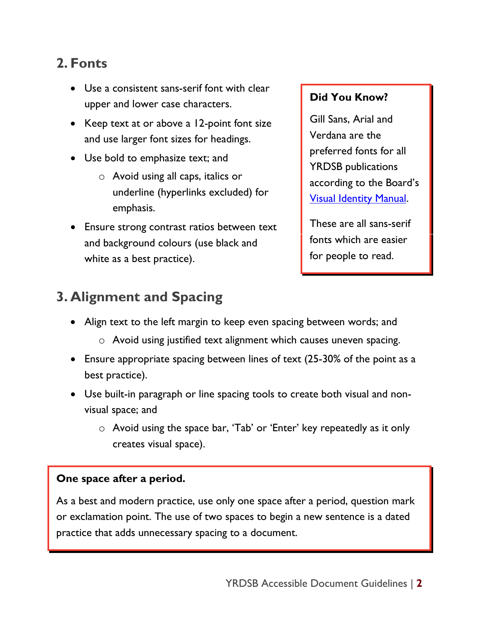## **2. Fonts**

- Use a consistent sans-serif font with clear upper and lower case characters.
- Keep text at or above a 12-point font size and use larger font sizes for headings.
- Use bold to emphasize text; and
	- o Avoid using all caps, italics or underline (hyperlinks excluded) for emphasis.
- Ensure strong contrast ratios between text and background colours (use black and white as a best practice).

#### **Did You Know?**

Gill Sans, Arial and Verdana are the preferred fonts for all YRDSB publications according to the Board's [Visual Identity Manual.](https://staffweb-yrdsb.msappproxy.net/services/pacs/Pages/Visual-Identity.aspx)

These are all sans-serif fonts which are easier for people to read.

# <span id="page-1-0"></span>**3. Alignment and Spacing**

- Align text to the left margin to keep even spacing between words; and
	- o Avoid using justified text alignment which causes uneven spacing.
- Ensure appropriate spacing between lines of text (25-30% of the point as a best practice).
- Use built-in paragraph or line spacing tools to create both visual and nonvisual space; and
	- o Avoid using the space bar, 'Tab' or 'Enter' key repeatedly as it only creates visual space).

#### **One space after a period.**

As a best and modern practice, use only one space after a period, question mark or exclamation point. The use of two spaces to begin a new sentence is a dated practice that adds unnecessary spacing to a document.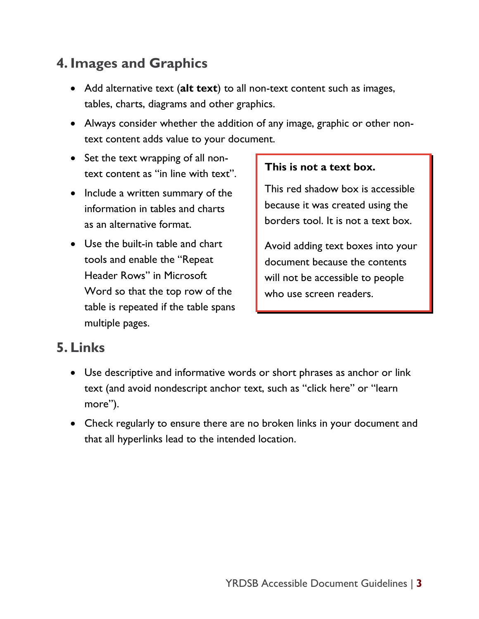# <span id="page-2-0"></span>**4. Images and Graphics**

- Add alternative text (**alt text**) to all non-text content such as images, tables, charts, diagrams and other graphics.
- Always consider whether the addition of any image, graphic or other nontext content adds value to your document.
- Set the text wrapping of all nontext content as "in line with text".
- Include a written summary of the information in tables and charts as an alternative format.
- Use the built-in table and chart tools and enable the "Repeat Header Rows" in Microsoft Word so that the top row of the table is repeated if the table spans multiple pages.

#### **This is not a text box.**

This red shadow box is accessible because it was created using the borders tool. It is not a text box.

Avoid adding text boxes into your document because the contents will not be accessible to people who use screen readers.

## **5. Links**

- <span id="page-2-1"></span>• Use descriptive and informative words or short phrases as anchor or link text (and avoid nondescript anchor text, such as "click here" or "learn more").
- Check regularly to ensure there are no broken links in your document and that all hyperlinks lead to the intended location.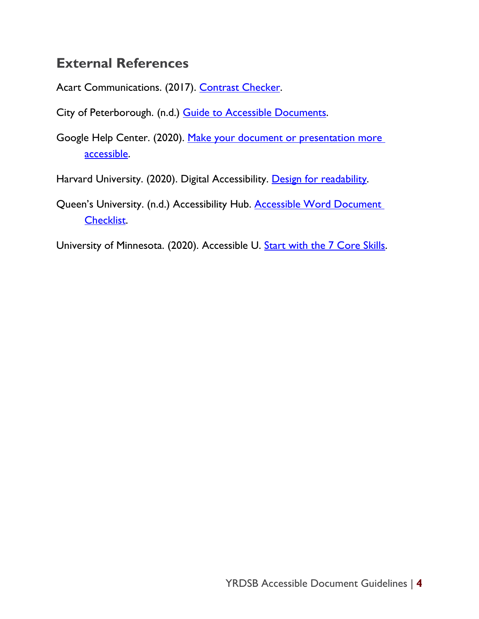### **External References**

Acart Communications. (2017). [Contrast Checker.](https://contrastchecker.com/)

City of Peterborough. (n.d.) [Guide to Accessible Documents.](https://www.peterborough.ca/en/city-hall/resources/Documents/Guide-to-Accessible-Documents.pdf)

Google Help Center. (2020). [Make your document or presentation more](https://support.google.com/docs/answer/6199477?hl=en)  [accessible.](https://support.google.com/docs/answer/6199477?hl=en)

Harvard University. (2020). Digital Accessibility. [Design for readability.](https://accessibility.huit.harvard.edu/design-readability)

Queen's University. (n.d.) Accessibility Hub. Accessible Word Document [Checklist.](https://www.queensu.ca/accessibility/how-info/accessible-documents/accessible-word-document-checklist)

University of Minnesota. (2020). Accessible U. **Start with the 7 Core Skills**.